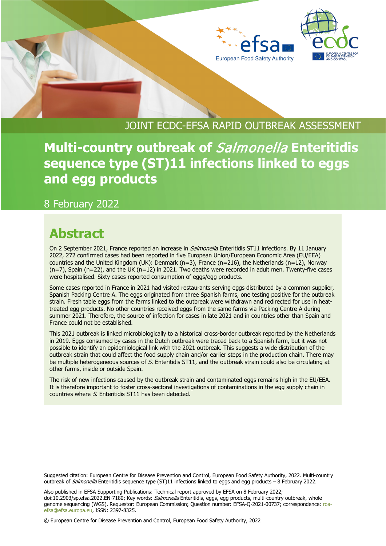



## JOINT ECDC-EFSA RAPID OUTBREAK ASSESSMENT

**Multi-country outbreak of** Salmonella **Enteritidis sequence type (ST)11 infections linked to eggs and egg products**

8 February 2022

## **Abstract**

On 2 September 2021, France reported an increase in *Salmonella* Enteritidis ST11 infections. By 11 January 2022, 272 confirmed cases had been reported in five European Union/European Economic Area (EU/EEA) countries and the United Kingdom (UK): Denmark (n=3), France (n=216), the Netherlands (n=12), Norway  $(n=7)$ , Spain  $(n=22)$ , and the UK  $(n=12)$  in 2021. Two deaths were recorded in adult men. Twenty-five cases were hospitalised. Sixty cases reported consumption of eggs/egg products.

Some cases reported in France in 2021 had visited restaurants serving eggs distributed by a common supplier, Spanish Packing Centre A. The eggs originated from three Spanish farms, one testing positive for the outbreak strain. Fresh table eggs from the farms linked to the outbreak were withdrawn and redirected for use in heattreated egg products. No other countries received eggs from the same farms via Packing Centre A during summer 2021. Therefore, the source of infection for cases in late 2021 and in countries other than Spain and France could not be established.

This 2021 outbreak is linked microbiologically to a historical cross-border outbreak reported by the Netherlands in 2019. Eggs consumed by cases in the Dutch outbreak were traced back to a Spanish farm, but it was not possible to identify an epidemiological link with the 2021 outbreak. This suggests a wide distribution of the outbreak strain that could affect the food supply chain and/or earlier steps in the production chain. There may be multiple heterogeneous sources of S. Enteritidis ST11, and the outbreak strain could also be circulating at other farms, inside or outside Spain.

The risk of new infections caused by the outbreak strain and contaminated eggs remains high in the EU/EEA. It is therefore important to foster cross-sectoral investigations of contaminations in the egg supply chain in countries where S. Enteritidis ST11 has been detected.

Also published in EFSA Supporting Publications: Technical report approved by EFSA on 8 February 2022; doi:10.2903/sp.efsa.2022.EN-7180; Key words: Salmonella Enteritidis, eggs, egg products, multi-country outbreak, whole genome sequencing (WGS). Requestor: European Commission; Question number: EFSA-Q-2021-00737; correspondence: [roa](mailto:roa-efsa@efsa.europa.eu)[efsa@efsa.europa.eu,](mailto:roa-efsa@efsa.europa.eu) ISSN: 2397-8325.

© European Centre for Disease Prevention and Control, European Food Safety Authority, 2022

Suggested citation: European Centre for Disease Prevention and Control, European Food Safety Authority, 2022. Multi-country outbreak of Salmonella Enteritidis sequence type (ST)11 infections linked to eggs and egg products - 8 February 2022.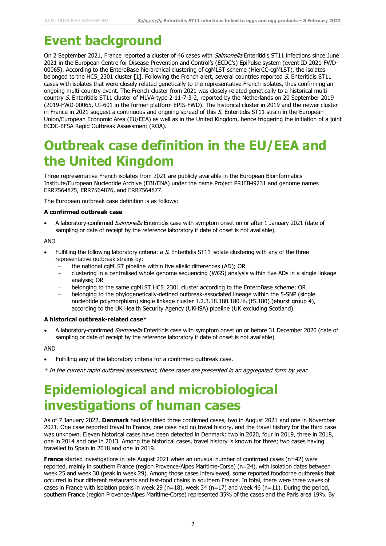## **Event background**

On 2 September 2021, France reported a cluster of 46 cases with *Salmonella* Enteritidis ST11 infections since June 2021 in the European Centre for Disease Prevention and Control's (ECDC's) EpiPulse system (event ID 2021-FWD-00065). According to the EnteroBase hierarchical clustering of cgMLST scheme (HierCC-cgMLST), the isolates belonged to the HC5\_2301 cluster [1]. Following the French alert, several countries reported S. Enteritidis ST11 cases with isolates that were closely related genetically to the representative French isolates, thus confirming an ongoing multi-country event. The French cluster from 2021 was closely related genetically to a historical multicountry S. Enteritidis ST11 cluster of MLVA-type 2-11-7-3-2, reported by the Netherlands on 20 September 2019 (2019-FWD-00065, UI-601 in the former platform EPIS-FWD). The historical cluster in 2019 and the newer cluster in France in 2021 suggest a continuous and ongoing spread of this S. Enteritidis ST11 strain in the European Union/European Economic Area (EU/EEA) as well as in the United Kingdom, hence triggering the initiation of a joint ECDC-EFSA Rapid Outbreak Assessment (ROA).

## **Outbreak case definition in the EU/EEA and the United Kingdom**

Three representative French isolates from 2021 are publicly available in the European Bioinformatics Institute/European Nucleotide Archive (EBI/ENA) under the name Project PRJEB49231 and genome names ERR7564875, ERR7564876, and ERR7564877.

The European outbreak case definition is as follows:

### **A confirmed outbreak case**

A laboratory-confirmed Salmonella Enteritidis case with symptom onset on or after 1 January 2021 (date of sampling or date of receipt by the reference laboratory if date of onset is not available).

### **AND**

- Fulfilling the following laboratory criteria: a S. Enteritidis ST11 isolate clustering with any of the three representative outbreak strains by:
	- − the national cgMLST pipeline within five allelic differences (AD); OR
	- − clustering in a centralised whole genome sequencing (WGS) analysis within five ADs in a single linkage analysis; OR
	- − belonging to the same cgMLST HC5\_2301 cluster according to the EnteroBase scheme; OR
	- − belonging to the phylogenetically-defined outbreak-associated lineage within the 5-SNP (single nucleotide polymorphism) single linkage cluster 1.2.3.18.180.180.% (t5.180) (eburst group 4), according to the UK Health Security Agency (UKHSA) pipeline (UK excluding Scotland).

### **A historical outbreak-related case\***

A laboratory-confirmed *Salmonella* Enteritidis case with symptom onset on or before 31 December 2020 (date of sampling or date of receipt by the reference laboratory if date of onset is not available).

### AND

- Fulfilling any of the laboratory criteria for a confirmed outbreak case.
- \* In the current rapid outbreak assessment, these cases are presented in an aggregated form by year.

## **Epidemiological and microbiological investigations of human cases**

As of 7 January 2022, **Denmark** had identified three confirmed cases, two in August 2021 and one in November 2021. One case reported travel to France, one case had no travel history, and the travel history for the third case was unknown. Eleven historical cases have been detected in Denmark: two in 2020, four in 2019, three in 2018, one in 2014 and one in 2013. Among the historical cases, travel history is known for three; two cases having travelled to Spain in 2018 and one in 2019.

**France** started investigations in late August 2021 when an unusual number of confirmed cases (n=42) were reported, mainly in southern France (region Provence-Alpes Maritime-Corse) (n=24), with isolation dates between week 25 and week 30 (peak in week 29). Among those cases interviewed, some reported foodborne outbreaks that occurred in four different restaurants and fast-food chains in southern France. In total, there were three waves of cases in France with isolation peaks in week 29 (n=18), week 34 (n=17) and week 46 (n=11). During the period, southern France (region Provence-Alpes Maritime-Corse) represented 35% of the cases and the Paris area 19%. By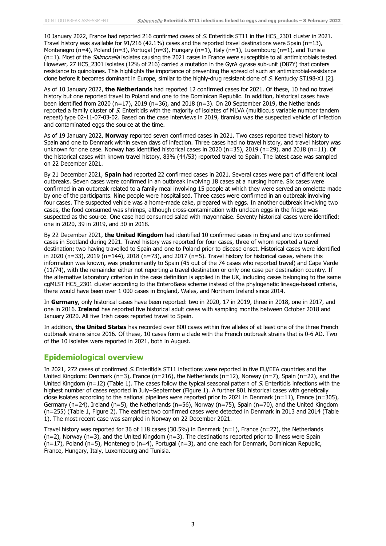10 January 2022, France had reported 216 confirmed cases of S. Enteritidis ST11 in the HC5\_2301 cluster in 2021. Travel history was available for  $91/216$  (42.1%) cases and the reported travel destinations were Spain (n=13), Montenegro (n=4), Poland (n=3), Portugal (n=3), Hungary (n=1), Italy (n=1), Luxembourg (n=1), and Tunisia  $(n=1)$ . Most of the *Salmonella* isolates causing the 2021 cases in France were susceptible to all antimicrobials tested. However, 27 HC5\_2301 isolates (12% of 216) carried a mutation in the GyrA gyrase sub-unit (D87Y) that confers resistance to quinolones. This highlights the importance of preventing the spread of such an antimicrobial-resistance clone before it becomes dominant in Europe, similar to the highly-drug resistant clone of S. Kentucky ST198-X1 [2].

As of 10 January 2022, **the Netherlands** had reported 12 confirmed cases for 2021. Of these, 10 had no travel history but one reported travel to Poland and one to the Dominican Republic. In addition, historical cases have been identified from 2020 (n=17), 2019 (n=36), and 2018 (n=3). On 20 September 2019, the Netherlands reported a family cluster of S. Enteritidis with the majority of isolates of MLVA (multilocus variable number tandem repeat) type 02-11-07-03-02. Based on the case interviews in 2019, tiramisu was the suspected vehicle of infection and contaminated eggs the source at the time.

As of 19 January 2022, **Norway** reported seven confirmed cases in 2021. Two cases reported travel history to Spain and one to Denmark within seven days of infection. Three cases had no travel history, and travel history was unknown for one case. Norway has identified historical cases in 2020 (n=35), 2019 (n=29), and 2018 (n=11). Of the historical cases with known travel history, 83% (44/53) reported travel to Spain. The latest case was sampled on 22 December 2021.

By 21 December 2021, **Spain** had reported 22 confirmed cases in 2021. Several cases were part of different local outbreaks. Seven cases were confirmed in an outbreak involving 18 cases at a nursing home. Six cases were confirmed in an outbreak related to a family meal involving 15 people at which they were served an omelette made by one of the participants. Nine people were hospitalised. Three cases were confirmed in an outbreak involving four cases. The suspected vehicle was a home-made cake, prepared with eggs. In another outbreak involving two cases, the food consumed was shrimps, although cross-contamination with unclean eggs in the fridge was suspected as the source. One case had consumed salad with mayonnaise. Seventy historical cases were identified: one in 2020, 39 in 2019, and 30 in 2018.

By 22 December 2021, **the United Kingdom** had identified 10 confirmed cases in England and two confirmed cases in Scotland during 2021. Travel history was reported for four cases, three of whom reported a travel destination; two having travelled to Spain and one to Poland prior to disease onset. Historical cases were identified in 2020 (n=33), 2019 (n=144), 2018 (n=73), and 2017 (n=5). Travel history for historical cases, where this information was known, was predominantly to Spain (45 out of the 74 cases who reported travel) and Cape Verde (11/74), with the remainder either not reporting a travel destination or only one case per destination country. If the alternative laboratory criterion in the case definition is applied in the UK, including cases belonging to the same cgMLST HC5\_2301 cluster according to the EnteroBase scheme instead of the phylogenetic lineage-based criteria, there would have been over 1 000 cases in England, Wales, and Northern Ireland since 2014.

In **Germany**, only historical cases have been reported: two in 2020, 17 in 2019, three in 2018, one in 2017, and one in 2016. **Ireland** has reported five historical adult cases with sampling months between October 2018 and January 2020. All five Irish cases reported travel to Spain.

In addition, **the United States** has recorded over 800 cases within five alleles of at least one of the three French outbreak strains since 2016. Of these, 10 cases form a clade with the French outbreak strains that is 0-6 AD. Two of the 10 isolates were reported in 2021, both in August.

### **Epidemiological overview**

In 2021, 272 cases of confirmed S. Enteritidis ST11 infections were reported in five EU/EEA countries and the United Kingdom: Denmark (n=3), France (n=216), the Netherlands (n=12), Norway (n=7), Spain (n=22), and the United Kingdom (n=12) (Table 1). The cases follow the typical seasonal pattern of S. Enteritidis infections with the highest number of cases reported in July−September (Figure 1). A further 801 historical cases with genetically close isolates according to the national pipelines were reported prior to 2021 in Denmark (n=11), France (n=305), Germany (n=24), Ireland (n=5), the Netherlands (n=56), Norway (n=75), Spain (n=70), and the United Kingdom (n=255) (Table 1, Figure 2). The earliest two confirmed cases were detected in Denmark in 2013 and 2014 (Table 1). The most recent case was sampled in Norway on 22 December 2021.

Travel history was reported for 36 of 118 cases (30.5%) in Denmark ( $n=1$ ), France ( $n=27$ ), the Netherlands (n=2), Norway (n=3), and the United Kingdom (n=3). The destinations reported prior to illness were Spain (n=17), Poland (n=5), Montenegro (n=4), Portugal (n=3), and one each for Denmark, Dominican Republic, France, Hungary, Italy, Luxembourg and Tunisia.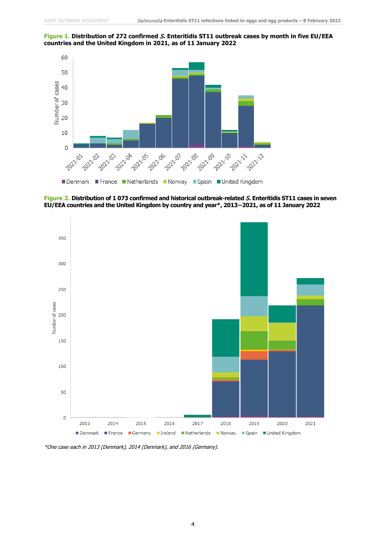



**Figure 2. Distribution of 1 073 confirmed and historical outbreak-related** S**. Enteritidis ST11 cases in seven EU/EEA countries and the United Kingdom by country and year\*, 2013−2021, as of 11 January 2022**



\*One case each in 2013 (Denmark), 2014 (Denmark), and 2016 (Germany).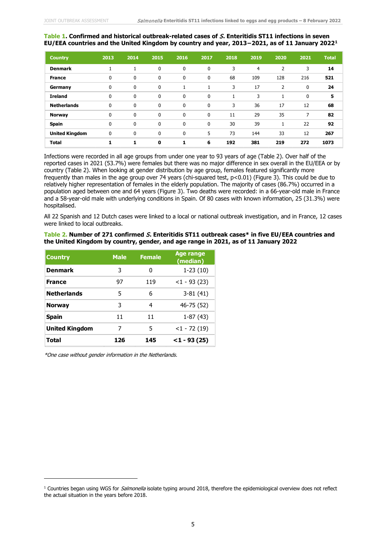#### **Table 1. Confirmed and historical outbreak-related cases of** S**. Enteritidis ST11 infections in seven EU/EEA countries and the United Kingdom by country and year, 2013−2021, as of 11 January 2022[1](#page-4-0)**

| <b>Country</b>        | 2013        | 2014        | 2015         | 2016         | 2017        | 2018 | 2019 | 2020           | 2021        | <b>Total</b> |
|-----------------------|-------------|-------------|--------------|--------------|-------------|------|------|----------------|-------------|--------------|
| <b>Denmark</b>        | 1           | 1           | 0            | 0            | 0           | 3    | 4    | $\overline{2}$ | 3           | 14           |
| <b>France</b>         | $\mathbf 0$ | 0           | 0            | 0            | 0           | 68   | 109  | 128            | 216         | 521          |
| Germany               | $\mathbf 0$ | $\mathbf 0$ | 0            |              |             | 3    | 17   | $\overline{2}$ | $\mathbf 0$ | 24           |
| <b>Ireland</b>        | $\mathbf 0$ | $\mathbf 0$ | $\mathbf 0$  | $\mathbf 0$  | $\mathbf 0$ | 1    | 3    |                | $\mathbf 0$ | 5            |
| <b>Netherlands</b>    | 0           | 0           | $\Omega$     | $\mathbf{0}$ | $\mathbf 0$ | 3    | 36   | 17             | 12          | 68           |
| <b>Norway</b>         | $\mathbf 0$ | $\mathbf 0$ | $\mathbf 0$  | 0            | $\mathbf 0$ | 11   | 29   | 35             | 7           | 82           |
| <b>Spain</b>          | 0           | $\mathbf 0$ | $\mathbf{0}$ | $\Omega$     | 0           | 30   | 39   | $\mathbf{1}$   | 22          | 92           |
| <b>United Kingdom</b> | 0           | $\mathbf 0$ | 0            | $\Omega$     | 5           | 73   | 144  | 33             | 12          | 267          |
| <b>Total</b>          | 1           | 1           | $\mathbf 0$  | 1            | 6           | 192  | 381  | 219            | 272         | 1073         |

Infections were recorded in all age groups from under one year to 93 years of age (Table 2). Over half of the reported cases in 2021 (53.7%) were females but there was no major difference in sex overall in the EU/EEA or by country (Table 2). When looking at gender distribution by age group, females featured significantly more frequently than males in the age group over 74 years (chi-squared test, p<0.01) (Figure 3). This could be due to relatively higher representation of females in the elderly population. The majority of cases (86.7%) occurred in a population aged between one and 64 years (Figure 3). Two deaths were recorded: in a 66-year-old male in France and a 58-year-old male with underlying conditions in Spain. Of 80 cases with known information, 25 (31.3%) were hospitalised.

All 22 Spanish and 12 Dutch cases were linked to a local or national outbreak investigation, and in France, 12 cases were linked to local outbreaks.

### **Table 2. Number of 271 confirmed** S**. Enteritidis ST11 outbreak cases\* in five EU/EEA countries and the United Kingdom by country, gender, and age range in 2021, as of 11 January 2022**

| <b>Country</b>        | <b>Male</b> | <b>Female</b> | <b>Age range</b><br>(median) |
|-----------------------|-------------|---------------|------------------------------|
| <b>Denmark</b>        | 3           | 0             | $1-23(10)$                   |
| <b>France</b>         | 97          | 119           | $<1 - 93$ (23)               |
| <b>Netherlands</b>    | 5           | 6             | $3-81(41)$                   |
| <b>Norway</b>         | 3           | 4             | 46-75 (52)                   |
| <b>Spain</b>          | 11          | 11            | $1-87(43)$                   |
| <b>United Kingdom</b> | 7           | 5             | $<1 - 72(19)$                |
| Total                 | 126         | 145           | $<$ 1 - 93 (25)              |

\*One case without gender information in the Netherlands.

<span id="page-4-0"></span><sup>&</sup>lt;sup>1</sup> Countries began using WGS for *Salmonella* isolate typing around 2018, therefore the epidemiological overview does not reflect the actual situation in the years before 2018.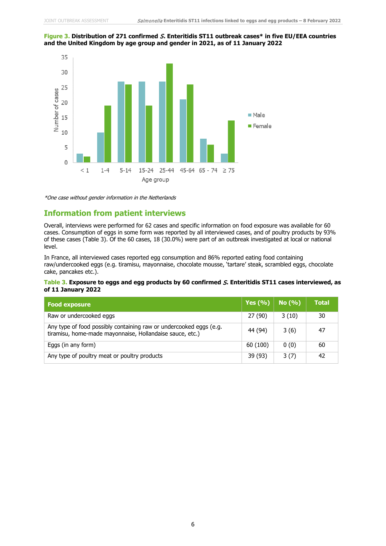#### **Figure 3. Distribution of 271 confirmed** S**. Enteritidis ST11 outbreak cases\* in five EU/EEA countries and the United Kingdom by age group and gender in 2021, as of 11 January 2022**



\*One case without gender information in the Netherlands

### **Information from patient interviews**

Overall, interviews were performed for 62 cases and specific information on food exposure was available for 60 cases. Consumption of eggs in some form was reported by all interviewed cases, and of poultry products by 93% of these cases (Table 3). Of the 60 cases, 18 (30.0%) were part of an outbreak investigated at local or national level.

In France, all interviewed cases reported egg consumption and 86% reported eating food containing raw/undercooked eggs (e.g. tiramisu, mayonnaise, chocolate mousse, 'tartare' steak, scrambled eggs, chocolate cake, pancakes etc.).

### **Table 3. Exposure to eggs and egg products by 60 confirmed** S**. Enteritidis ST11 cases interviewed, as of 11 January 2022**

| <b>Food exposure</b>                                                                                                           | Yes $(%)$ | No (%) | <b>Total</b> |
|--------------------------------------------------------------------------------------------------------------------------------|-----------|--------|--------------|
| Raw or undercooked eggs                                                                                                        | 27 (90)   | 3(10)  | 30           |
| Any type of food possibly containing raw or undercooked eggs (e.g.<br>tiramisu, home-made mayonnaise, Hollandaise sauce, etc.) | 44 (94)   | 3(6)   | 47           |
| Eggs (in any form)                                                                                                             | 60 (100)  | 0(0)   | 60           |
| Any type of poultry meat or poultry products                                                                                   | 39 (93)   | 3(7)   | 42           |

6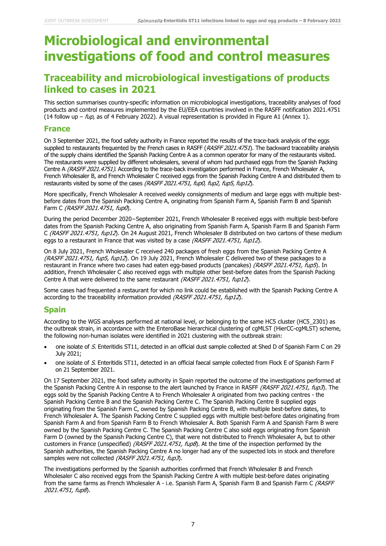## **Microbiological and environmental investigations of food and control measures**

### **Traceability and microbiological investigations of products linked to cases in 2021**

This section summarises country-specific information on microbiological investigations, traceability analyses of food products and control measures implemented by the EU/EEA countries involved in the RASFF notification 2021.4751 (14 follow up –  $fup$ , as of 4 February 2022). A visual representation is provided in Figure A1 (Annex 1).

### **France**

On 3 September 2021, the food safety authority in France reported the results of the trace-back analysis of the eggs supplied to restaurants frequented by the French cases in RASFF (RASFF 2021.4751). The backward traceability analysis of the supply chains identified the Spanish Packing Centre A as a common operator for many of the restaurants visited. The restaurants were supplied by different wholesalers, several of whom had purchased eggs from the Spanish Packing Centre A (RASFF 2021.4751). According to the trace-back investigation performed in France, French Wholesaler A, French Wholesaler B, and French Wholesaler C received eggs from the Spanish Packing Centre A and distributed them to restaurants visited by some of the cases (RASFF 2021.4751, fup0, fup2, fup5, fup12).

More specifically, French Wholesaler A received weekly consignments of medium and large eggs with multiple bestbefore dates from the Spanish Packing Centre A, originating from Spanish Farm A, Spanish Farm B and Spanish Farm C (RASFF 2021.4751, fup0).

During the period December 2020−September 2021, French Wholesaler B received eggs with multiple best-before dates from the Spanish Packing Centre A, also originating from Spanish Farm A, Spanish Farm B and Spanish Farm C (RASFF 2021.4751, fup12). On 24 August 2021, French Wholesaler B distributed on two cartons of these medium eggs to a restaurant in France that was visited by a case (RASFF 2021.4751, fup12).

On 8 July 2021, French Wholesaler C received 240 packages of fresh eggs from the Spanish Packing Centre A (RASFF 2021.4751, fup5, fup12). On 19 July 2021, French Wholesaler C delivered two of these packages to a restaurant in France where two cases had eaten egg-based products (pancakes) (RASFF 2021.4751, fup5). In addition, French Wholesaler C also received eggs with multiple other best-before dates from the Spanish Packing Centre A that were delivered to the same restaurant (RASFF 2021.4751, fup12).

Some cases had frequented a restaurant for which no link could be established with the Spanish Packing Centre A according to the traceability information provided (RASFF 2021.4751, fup12).

### **Spain**

According to the WGS analyses performed at national level, or belonging to the same HC5 cluster (HC5\_2301) as the outbreak strain, in accordance with the EnteroBase hierarchical clustering of cgMLST (HierCC-cgMLST) scheme, the following non-human isolates were identified in 2021 clustering with the outbreak strain:

- one isolate of S. Enteritidis ST11, detected in an official dust sample collected at Shed D of Spanish Farm C on 29 July 2021;
- one isolate of <sup>S</sup>. Enteritidis ST11, detected in an official faecal sample collected from Flock E of Spanish Farm F on 21 September 2021.

On 17 September 2021, the food safety authority in Spain reported the outcome of the investigations performed at the Spanish Packing Centre A in response to the alert launched by France in RASFF (RASFF 2021.4751, fup3). The eggs sold by the Spanish Packing Centre A to French Wholesaler A originated from two packing centres - the Spanish Packing Centre B and the Spanish Packing Centre C. The Spanish Packing Centre B supplied eggs originating from the Spanish Farm C, owned by Spanish Packing Centre B, with multiple best-before dates, to French Wholesaler A. The Spanish Packing Centre C supplied eggs with multiple best-before dates originating from Spanish Farm A and from Spanish Farm B to French Wholesaler A. Both Spanish Farm A and Spanish Farm B were owned by the Spanish Packing Centre C. The Spanish Packing Centre C also sold eggs originating from Spanish Farm D (owned by the Spanish Packing Centre C), that were not distributed to French Wholesaler A, but to other customers in France (unspecified) ( $RASFF$  2021.4751, fup8). At the time of the inspection performed by the Spanish authorities, the Spanish Packing Centre A no longer had any of the suspected lots in stock and therefore samples were not collected (RASFF 2021.4751, fup3).

The investigations performed by the Spanish authorities confirmed that French Wholesaler B and French Wholesaler C also received eggs from the Spanish Packing Centre A with multiple best-before dates originating from the same farms as French Wholesaler A - i.e. Spanish Farm A, Spanish Farm B and Spanish Farm C (RASFF 2021.4751, fup8).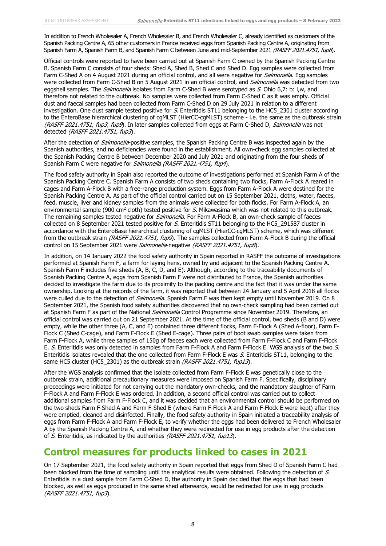In addition to French Wholesaler A, French Wholesaler B, and French Wholesaler C, already identified as customers of the Spanish Packing Centre A, 65 other customers in France received eggs from Spanish Packing Centre A, originating from Spanish Farm A, Spanish Farm B, and Spanish Farm C between June and mid-September 2021 (RASFF 2021.4751, fup8).

Official controls were reported to have been carried out at Spanish Farm C owned by the Spanish Packing Centre B. Spanish Farm C consists of four sheds: Shed A, Shed B, Shed C and Shed D. Egg samples were collected from Farm C-Shed A on 4 August 2021 during an official control, and all were negative for *Salmonella*. Egg samples were collected from Farm C-Shed B on 5 August 2021 in an official control, and Salmonella was detected from two eggshell samples. The *Salmonella* isolates from Farm C-Shed B were serotyped as S. Ohio 6,7: b: l,w, and therefore not related to the outbreak. No samples were collected from Farm C-Shed C as it was empty. Official dust and faecal samples had been collected from Farm C-Shed D on 29 July 2021 in relation to a different investigation. One dust sample tested positive for  $S$ . Enteritidis ST11 belonging to the HC5\_2301 cluster according to the EnteroBase hierarchical clustering of cgMLST (HierCC-cgMLST) scheme - i.e. the same as the outbreak strain (RASFF 2021.4751, fup3, fup9). In later samples collected from eggs at Farm C-Shed D, Salmonella was not detected (RASFF 2021.4751, fup3).

After the detection of Salmonella-positive samples, the Spanish Packing Centre B was inspected again by the Spanish authorities, and no deficiencies were found in the establishment. All own-check egg samples collected at the Spanish Packing Centre B between December 2020 and July 2021 and originating from the four sheds of Spanish Farm C were negative for Salmonella (RASFF 2021.4751, fup4).

The food safety authority in Spain also reported the outcome of investigations performed at Spanish Farm A of the Spanish Packing Centre C. Spanish Farm A consists of two sheds containing two flocks, Farm A-Flock A reared in cages and Farm A-Flock B with a free-range production system. Eggs from Farm A-Flock A were destined for the Spanish Packing Centre A. As part of the official control carried out on 15 September 2021, cloths, water, faeces, feed, muscle, liver and kidney samples from the animals were collected for both flocks. For Farm A-Flock A, an environmental sample (900 cm<sup>2</sup> cloth) tested positive for S. Mikawasima which was not related to this outbreak. The remaining samples tested negative for *Salmonella*. For Farm A-Flock B, an own-check sample of faeces collected on 8 September 2021 tested positive for  $S$ . Enteritidis ST11 belonging to the HC5\_291587 cluster in accordance with the EnteroBase hierarchical clustering of cgMLST (HierCC-cgMLST) scheme, which was different from the outbreak strain (RASFF 2021.4751, fup9). The samples collected from Farm A-Flock B during the official control on 15 September 2021 were Salmonella-negative (RASFF 2021.4751, fup8).

In addition, on 14 January 2022 the food safety authority in Spain reported in RASFF the outcome of investigations performed at Spanish Farm F, a farm for laying hens, owned by and adjacent to the Spanish Packing Centre A. Spanish Farm F includes five sheds (A, B, C, D, and E). Although, according to the traceability documents of Spanish Packing Centre A, eggs from Spanish Farm F were not distributed to France, the Spanish authorities decided to investigate the farm due to its proximity to the packing centre and the fact that it was under the same ownership. Looking at the records of the farm, it was reported that between 24 January and 5 April 2018 all flocks were culled due to the detection of *Salmonella*. Spanish Farm F was then kept empty until November 2019. On 8 September 2021, the Spanish food safety authorities discovered that no own-check sampling had been carried out at Spanish Farm F as part of the National *Salmonella* Control Programme since November 2019. Therefore, an official control was carried out on 21 September 2021. At the time of the official control, two sheds (B and D) were empty, while the other three (A, C, and E) contained three different flocks, Farm F-Flock A (Shed A-floor), Farm F-Flock C (Shed C-cage), and Farm F-Flock E (Shed E-cage). Three pairs of boot swab samples were taken from Farm F-Flock A, while three samples of 150g of faeces each were collected from Farm F-Flock C and Farm F-Flock E. S. Enteritidis was only detected in samples from Farm F-Flock A and Farm F-Flock E. WGS analysis of the two S. Enteritidis isolates revealed that the one collected from Farm F-Flock E was S. Enteritidis ST11, belonging to the same HC5 cluster (HC5 2301) as the outbreak strain (RASFF 2021.4751, fup13).

After the WGS analysis confirmed that the isolate collected from Farm F-Flock E was genetically close to the outbreak strain, additional precautionary measures were imposed on Spanish Farm F. Specifically, disciplinary proceedings were initiated for not carrying out the mandatory own-checks, and the mandatory slaughter of Farm F-Flock A and Farm F-Flock E was ordered. In addition, a second official control was carried out to collect additional samples from Farm F-Flock C, and it was decided that an environmental control should be performed on the two sheds Farm F-Shed A and Farm F-Shed E (where Farm F-Flock A and Farm F-Flock E were kept) after they were emptied, cleaned and disinfected. Finally, the food safety authority in Spain initiated a traceability analysis of eggs from Farm F-Flock A and Farm F-Flock E, to verify whether the eggs had been delivered to French Wholesaler A by the Spanish Packing Centre A, and whether they were redirected for use in egg products after the detection of S. Enteritidis, as indicated by the authorities (RASFF 2021.4751, fup13).

### **Control measures for products linked to cases in 2021**

On 17 September 2021, the food safety authority in Spain reported that eggs from Shed D of Spanish Farm C had been blocked from the time of sampling until the analytical results were obtained. Following the detection of S. Enteritidis in a dust sample from Farm C-Shed D, the authority in Spain decided that the eggs that had been blocked, as well as eggs produced in the same shed afterwards, would be redirected for use in egg products (RASFF 2021.4751, fup3).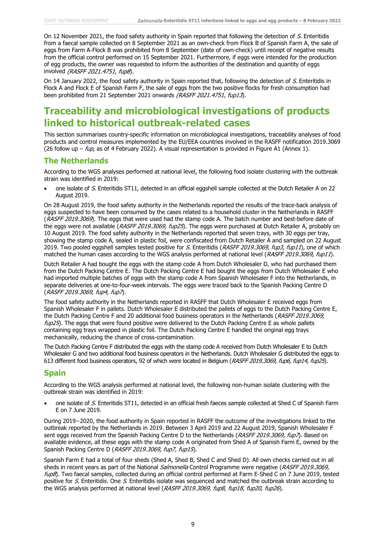On 12 November 2021, the food safety authority in Spain reported that following the detection of S. Enteritidis from a faecal sample collected on 8 September 2021 as an own-check from Flock B of Spanish Farm A, the sale of eggs from Farm A-Flock B was prohibited from 8 September (date of own-check) until receipt of negative results from the official control performed on 15 September 2021. Furthermore, if eggs were intended for the production of egg products, the owner was requested to inform the authorities of the destination and quantity of eggs involved (RASFF 2021.4751, fup8).

On 14 January 2022, the food safety authority in Spain reported that, following the detection of S. Enteritidis in Flock A and Flock E of Spanish Farm F, the sale of eggs from the two positive flocks for fresh consumption had been prohibited from 21 September 2021 onwards (RASFF 2021.4751, fup13).

### **Traceability and microbiological investigations of products linked to historical outbreak-related cases**

This section summarises country-specific information on microbiological investigations, traceability analyses of food products and control measures implemented by the EU/EEA countries involved in the RASFF notification 2019.3069 (26 follow up –  $fup$ , as of 4 February 2022). A visual representation is provided in Figure A1 (Annex 1).

### **The Netherlands**

According to the WGS analyses performed at national level, the following food isolate clustering with the outbreak strain was identified in 2019:

• one isolate of S. Enteritidis ST11, detected in an official eggshell sample collected at the Dutch Retailer A on 22 August 2019.

On 28 August 2019, the food safety authority in the Netherlands reported the results of the trace-back analysis of eggs suspected to have been consumed by the cases related to a household cluster in the Netherlands in RASFF (RASFF 2019.3069). The eggs that were used had the stamp code A. The batch number and best-before date of the eggs were not available (RASFF 2019.3069, fup25). The eggs were purchased at Dutch Retailer A, probably on 10 August 2019. The food safety authority in the Netherlands reported that seven trays, with 30 eggs per tray, showing the stamp code A, sealed in plastic foil, were confiscated from Dutch Retailer A and sampled on 22 August 2019. Two pooled eggshell samples tested positive for S. Enteritidis (RASFF 2019.3069, fup3, fup11), one of which matched the human cases according to the WGS analysis performed at national level (RASFF 2019.3069, fup11).

Dutch Retailer A had bought the eggs with the stamp code A from Dutch Wholesaler D, who had purchased them from the Dutch Packing Centre E. The Dutch Packing Centre E had bought the eggs from Dutch Wholesaler E who had imported multiple batches of eggs with the stamp code A from Spanish Wholesaler F into the Netherlands, in separate deliveries at one-to-four-week intervals. The eggs were traced back to the Spanish Packing Centre D (RASFF 2019.3069, fup4, fup7).

The food safety authority in the Netherlands reported in RASFF that Dutch Wholesaler E received eggs from Spanish Wholesaler F in pallets. Dutch Wholesaler E distributed the pallets of eggs to the Dutch Packing Centre E, the Dutch Packing Centre F and 20 additional food business operators in the Netherlands (RASFF 2019.3069,  $fup25$ ). The eggs that were found positive were delivered to the Dutch Packing Centre E as whole pallets containing egg trays wrapped in plastic foil. The Dutch Packing Centre E handled the original egg trays mechanically, reducing the chance of cross-contamination.

The Dutch Packing Centre F distributed the eggs with the stamp code A received from Dutch Wholesaler E to Dutch Wholesaler G and two additional food business operators in the Netherlands. Dutch Wholesaler G distributed the eggs to 613 different food business operators, 92 of which were located in Belgium (RASFF 2019.3069, fup6, fup14, fup25).

### **Spain**

According to the WGS analysis performed at national level, the following non-human isolate clustering with the outbreak strain was identified in 2019:

one isolate of S. Enteritidis ST11, detected in an official fresh faeces sample collected at Shed C of Spanish Farm E on 7 June 2019.

During 2019−2020, the food authority in Spain reported in RASFF the outcome of the investigations linked to the outbreak reported by the Netherlands in 2019. Between 3 April 2019 and 22 August 2019, Spanish Wholesaler F sent eggs received from the Spanish Packing Centre D to the Netherlands (RASFF 2019.3069, fup7). Based on available evidence, all these eggs with the stamp code A originated from Shed A of Spanish Farm E, owned by the Spanish Packing Centre D (RASFF 2019.3069, fup7, fup15).

Spanish Farm E had a total of four sheds (Shed A, Shed B, Shed C and Shed D). All own checks carried out in all sheds in recent years as part of the National *Salmonella* Control Programme were negative (RASFF 2019.3069, fup8). Two faecal samples, collected during an official control performed at Farm E-Shed C on 7 June 2019, tested positive for S. Enteritidis. One S. Enteritidis isolate was sequenced and matched the outbreak strain according to the WGS analysis performed at national level (RASFF 2019.3069, fup8, fup18, fup20, fup26).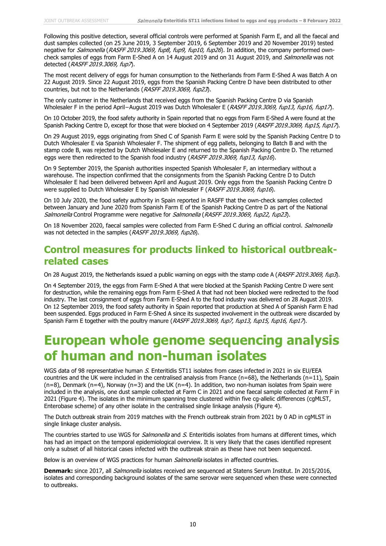Following this positive detection, several official controls were performed at Spanish Farm E, and all the faecal and dust samples collected (on 25 June 2019, 3 September 2019, 6 September 2019 and 20 November 2019) tested negative for Salmonella (RASFF 2019.3069, fup8, fup9, fup10, fup26). In addition, the company performed owncheck samples of eggs from Farm E-Shed A on 14 August 2019 and on 31 August 2019, and Salmonella was not detected (RASFF 2019.3069, fup7).

The most recent delivery of eggs for human consumption to the Netherlands from Farm E-Shed A was Batch A on 22 August 2019. Since 22 August 2019, eggs from the Spanish Packing Centre D have been distributed to other countries, but not to the Netherlands (RASFF 2019.3069, fup23).

The only customer in the Netherlands that received eggs from the Spanish Packing Centre D via Spanish Wholesaler F in the period April−August 2019 was Dutch Wholesaler E (RASFF 2019.3069, fup13, fup16, fup17).

On 10 October 2019, the food safety authority in Spain reported that no eggs from Farm E-Shed A were found at the Spanish Packing Centre D, except for those that were blocked on 4 September 2019 (RASFF 2019.3069, fup15, fup17).

On 29 August 2019, eggs originating from Shed C of Spanish Farm E were sold by the Spanish Packing Centre D to Dutch Wholesaler E via Spanish Wholesaler F. The shipment of egg pallets, belonging to Batch B and with the stamp code B, was rejected by Dutch Wholesaler E and returned to the Spanish Packing Centre D. The returned eggs were then redirected to the Spanish food industry (RASFF 2019.3069, fup13, fup16).

On 9 September 2019, the Spanish authorities inspected Spanish Wholesaler F, an intermediary without a warehouse. The inspection confirmed that the consignments from the Spanish Packing Centre D to Dutch Wholesaler E had been delivered between April and August 2019. Only eggs from the Spanish Packing Centre D were supplied to Dutch Wholesaler E by Spanish Wholesaler F (RASFF 2019.3069, fup16).

On 10 July 2020, the food safety authority in Spain reported in RASFF that the own-check samples collected between January and June 2020 from Spanish Farm E of the Spanish Packing Centre D as part of the National Salmonella Control Programme were negative for Salmonella (RASFF 2019.3069, fup22, fup23).

On 18 November 2020, faecal samples were collected from Farm E-Shed C during an official control. Salmonella was not detected in the samples (RASFF 2019.3069, fup26).

### **Control measures for products linked to historical outbreakrelated cases**

On 28 August 2019, the Netherlands issued a public warning on eggs with the stamp code A (RASFF 2019.3069, fup3).

On 4 September 2019, the eggs from Farm E-Shed A that were blocked at the Spanish Packing Centre D were sent for destruction, while the remaining eggs from Farm E-Shed A that had not been blocked were redirected to the food industry. The last consignment of eggs from Farm E-Shed A to the food industry was delivered on 28 August 2019. On 12 September 2019, the food safety authority in Spain reported that production at Shed A of Spanish Farm E had been suspended. Eggs produced in Farm E-Shed A since its suspected involvement in the outbreak were discarded by Spanish Farm E together with the poultry manure (RASFF 2019.3069, fup7, fup13, fup15, fup16, fup17).

## **European whole genome sequencing analysis of human and non-human isolates**

WGS data of 98 representative human S. Enteritidis ST11 isolates from cases infected in 2021 in six EU/EEA countries and the UK were included in the centralised analysis from France (n=68), the Netherlands (n=11), Spain (n=8), Denmark (n=4), Norway (n=3) and the UK (n=4). In addition, two non-human isolates from Spain were included in the analysis, one dust sample collected at Farm C in 2021 and one faecal sample collected at Farm F in 2021 (Figure 4). The isolates in the minimum spanning tree clustered within five cg-allelic differences (cgMLST, Enterobase scheme) of any other isolate in the centralised single linkage analysis (Figure 4).

The Dutch outbreak strain from 2019 matches with the French outbreak strain from 2021 by 0 AD in cgMLST in single linkage cluster analysis.

The countries started to use WGS for *Salmonella* and S. Enteritidis isolates from humans at different times, which has had an impact on the temporal epidemiological overview. It is very likely that the cases identified represent only a subset of all historical cases infected with the outbreak strain as these have not been sequenced.

Below is an overview of WGS practices for human *Salmonella* isolates in affected countries.

**Denmark:** since 2017, all *Salmonella* isolates received are sequenced at Statens Serum Institut. In 2015/2016, isolates and corresponding background isolates of the same serovar were sequenced when these were connected to outbreaks.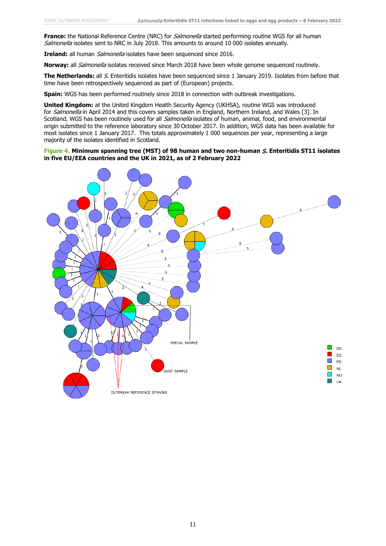**France:** the National Reference Centre (NRC) for *Salmonella* started performing routine WGS for all human Salmonella isolates sent to NRC in July 2018. This amounts to around 10 000 isolates annually.

**Ireland:** all human *Salmonella* isolates have been sequenced since 2016.

**Norway:** all Salmonella isolates received since March 2018 have been whole genome sequenced routinely.

**The Netherlands:** all S. Enteritidis isolates have been sequenced since 1 January 2019. Isolates from before that time have been retrospectively sequenced as part of (European) projects.

**Spain:** WGS has been performed routinely since 2018 in connection with outbreak investigations.

**United Kingdom:** at the United Kingdom Health Security Agency (UKHSA), routine WGS was introduced for Salmonella in April 2014 and this covers samples taken in England, Northern Ireland, and Wales [3]. In Scotland, WGS has been routinely used for all Salmonella isolates of human, animal, food, and environmental origin submitted to the reference laboratory since 30 October 2017. In addition, WGS data has been available for most isolates since 1 January 2017. This totals approximately 1 000 sequences per year, representing a large majority of the isolates identified in Scotland.

### **Figure 4. Minimum spanning tree (MST) of 98 human and two non-human** S**. Enteritidis ST11 isolates in five EU/EEA countries and the UK in 2021, as of 2 February 2022**

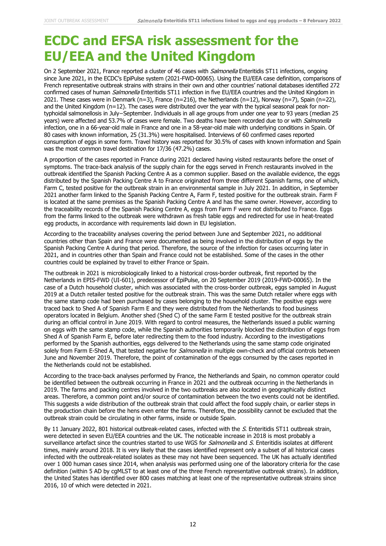## **ECDC and EFSA risk assessment for the EU/EEA and the United Kingdom**

On 2 September 2021, France reported a cluster of 46 cases with *Salmonella* Enteritidis ST11 infections, ongoing since June 2021, in the ECDC's EpiPulse system (2021-FWD-00065). Using the EU/EEA case definition, comparisons of French representative outbreak strains with strains in their own and other countries' national databases identified 272 confirmed cases of human *Salmonella* Enteritidis ST11 infection in five EU/EEA countries and the United Kingdom in 2021. These cases were in Denmark (n=3), France (n=216), the Netherlands (n=12), Norway (n=7), Spain (n=22), and the United Kingdom (n=12). The cases were distributed over the year with the typical seasonal peak for nontyphoidal salmonellosis in July−September. Individuals in all age groups from under one year to 93 years (median 25 years) were affected and 53.7% of cases were female. Two deaths have been recorded due to or with Salmonella infection, one in a 66-year-old male in France and one in a 58-year-old male with underlying conditions in Spain. Of 80 cases with known information, 25 (31.3%) were hospitalised. Interviews of 60 confirmed cases reported consumption of eggs in some form. Travel history was reported for 30.5% of cases with known information and Spain was the most common travel destination for 17/36 (47.2%) cases.

A proportion of the cases reported in France during 2021 declared having visited restaurants before the onset of symptoms. The trace-back analysis of the supply chain for the eggs served in French restaurants involved in the outbreak identified the Spanish Packing Centre A as a common supplier. Based on the available evidence, the eggs distributed by the Spanish Packing Centre A to France originated from three different Spanish farms, one of which, Farm C, tested positive for the outbreak strain in an environmental sample in July 2021. In addition, in September 2021 another farm linked to the Spanish Packing Centre A, Farm F, tested positive for the outbreak strain. Farm F is located at the same premises as the Spanish Packing Centre A and has the same owner. However, according to the traceability records of the Spanish Packing Centre A, eggs from Farm F were not distributed to France. Eggs from the farms linked to the outbreak were withdrawn as fresh table eggs and redirected for use in heat-treated egg products, in accordance with requirements laid down in EU legislation.

According to the traceability analyses covering the period between June and September 2021, no additional countries other than Spain and France were documented as being involved in the distribution of eggs by the Spanish Packing Centre A during that period. Therefore, the source of the infection for cases occurring later in 2021, and in countries other than Spain and France could not be established. Some of the cases in the other countries could be explained by travel to either France or Spain.

The outbreak in 2021 is microbiologically linked to a historical cross-border outbreak, first reported by the Netherlands in EPIS-FWD (UI-601), predecessor of EpiPulse, on 20 September 2019 (2019-FWD-00065). In the case of a Dutch household cluster, which was associated with the cross-border outbreak, eggs sampled in August 2019 at a Dutch retailer tested positive for the outbreak strain. This was the same Dutch retailer where eggs with the same stamp code had been purchased by cases belonging to the household cluster. The positive eggs were traced back to Shed A of Spanish Farm E and they were distributed from the Netherlands to food business operators located in Belgium. Another shed (Shed C) of the same Farm E tested positive for the outbreak strain during an official control in June 2019. With regard to control measures, the Netherlands issued a public warning on eggs with the same stamp code, while the Spanish authorities temporarily blocked the distribution of eggs from Shed A of Spanish Farm E, before later redirecting them to the food industry. According to the investigations performed by the Spanish authorities, eggs delivered to the Netherlands using the same stamp code originated solely from Farm E-Shed A, that tested negative for *Salmonella* in multiple own-check and official controls between June and November 2019. Therefore, the point of contamination of the eggs consumed by the cases reported in the Netherlands could not be established.

According to the trace-back analyses performed by France, the Netherlands and Spain, no common operator could be identified between the outbreak occurring in France in 2021 and the outbreak occurring in the Netherlands in 2019. The farms and packing centres involved in the two outbreaks are also located in geographically distinct areas. Therefore, a common point and/or source of contamination between the two events could not be identified. This suggests a wide distribution of the outbreak strain that could affect the food supply chain, or earlier steps in the production chain before the hens even enter the farms. Therefore, the possibility cannot be excluded that the outbreak strain could be circulating in other farms, inside or outside Spain.

By 11 January 2022, 801 historical outbreak-related cases, infected with the  $S$ . Enteritidis ST11 outbreak strain, were detected in seven EU/EEA countries and the UK. The noticeable increase in 2018 is most probably a surveillance artefact since the countries started to use WGS for Salmonella and S. Enteritidis isolates at different times, mainly around 2018. It is very likely that the cases identified represent only a subset of all historical cases infected with the outbreak-related isolates as these may not have been sequenced. The UK has actually identified over 1 000 human cases since 2014, when analysis was performed using one of the laboratory criteria for the case definition (within 5 AD by cgMLST to at least one of the three French representative outbreak strains). In addition, the United States has identified over 800 cases matching at least one of the representative outbreak strains since 2016, 10 of which were detected in 2021.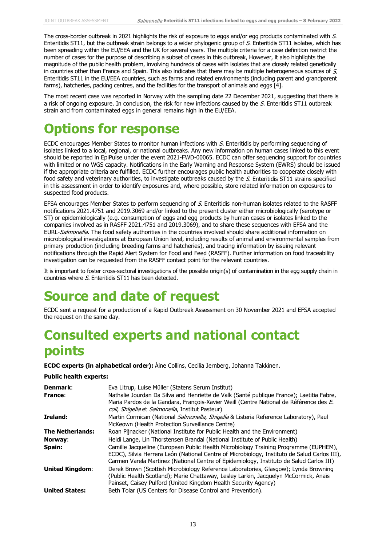The cross-border outbreak in 2021 highlights the risk of exposure to eggs and/or egg products contaminated with S. Enteritidis ST11, but the outbreak strain belongs to a wider phylogenic group of S. Enteritidis ST11 isolates, which has been spreading within the EU/EEA and the UK for several years. The multiple criteria for a case definition restrict the number of cases for the purpose of describing a subset of cases in this outbreak, However, it also highlights the magnitude of the public health problem, involving hundreds of cases with isolates that are closely related genetically in countries other than France and Spain. This also indicates that there may be multiple heterogeneous sources of S. Enteritidis ST11 in the EU/EEA countries, such as farms and related environments (including parent and grandparent farms), hatcheries, packing centres, and the facilities for the transport of animals and eggs [4].

The most recent case was reported in Norway with the sampling date 22 December 2021, suggesting that there is a risk of ongoing exposure. In conclusion, the risk for new infections caused by the S. Enteritidis ST11 outbreak strain and from contaminated eggs in general remains high in the EU/EEA.

## **Options for response**

ECDC encourages Member States to monitor human infections with S. Enteritidis by performing sequencing of isolates linked to a local, regional, or national outbreaks. Any new information on human cases linked to this event should be reported in EpiPulse under the event 2021-FWD-00065. ECDC can offer sequencing support for countries with limited or no WGS capacity. Notifications in the Early Warning and Response System (EWRS) should be issued if the appropriate criteria are fulfilled. ECDC further encourages public health authorities to cooperate closely with food safety and veterinary authorities, to investigate outbreaks caused by the S. Enteritidis ST11 strains specified in this assessment in order to identify exposures and, where possible, store related information on exposures to suspected food products.

EFSA encourages Member States to perform sequencing of S. Enteritidis non-human isolates related to the RASFF notifications 2021.4751 and 2019.3069 and/or linked to the present cluster either microbiologically (serotype or ST) or epidemiologically (e.g. consumption of eggs and egg products by human cases or isolates linked to the companies involved as in RASFF 2021.4751 and 2019.3069), and to share these sequences with EFSA and the EURL-Salmonella. The food safety authorities in the countries involved should share additional information on microbiological investigations at European Union level, including results of animal and environmental samples from primary production (including breeding farms and hatcheries), and tracing information by issuing relevant notifications through the Rapid Alert System for Food and Feed (RASFF). Further information on food traceability investigation can be requested from the RASFF contact point for the relevant countries.

It is important to foster cross-sectoral investigations of the possible origin(s) of contamination in the egg supply chain in countries where S. Enteritidis ST11 has been detected.

## **Source and date of request**

ECDC sent a request for a production of a Rapid Outbreak Assessment on 30 November 2021 and EFSA accepted the request on the same day.

## **Consulted experts and national contact points**

**ECDC experts (in alphabetical order):** Áine Collins, Cecilia Jernberg, Johanna Takkinen.

### **Public health experts:**

| Denmark:<br>France:     | Eva Litrup, Luise Müller (Statens Serum Institut)<br>Nathalie Jourdan Da Silva and Henriette de Valk (Santé publique France): Laetitia Fabre,<br>Maria Pardos de la Gandara, François-Xavier Weill (Centre National de Référence des E.<br><i>coli, Shigella</i> et <i>Salmonella</i> , Institut Pasteur) |
|-------------------------|-----------------------------------------------------------------------------------------------------------------------------------------------------------------------------------------------------------------------------------------------------------------------------------------------------------|
| Ireland:                | Martin Cormican (National <i>Salmonella, Shigella</i> & Listeria Reference Laboratory), Paul<br>McKeown (Health Protection Surveillance Centre)                                                                                                                                                           |
| <b>The Netherlands:</b> | Roan Pijnacker (National Institute for Public Health and the Environment)                                                                                                                                                                                                                                 |
| Norway:                 | Heidi Lange, Lin Thorstensen Brandal (National Institute of Public Health)                                                                                                                                                                                                                                |
| Spain:                  | Camille Jacqueline (European Public Health Microbiology Training Programme (EUPHEM),<br>ECDC), Silvia Herrera León (National Centre of Microbiology, Instituto de Salud Carlos III),<br>Carmen Varela Martinez (National Centre of Epidemiology, Instituto de Salud Carlos III)                           |
| <b>United Kingdom:</b>  | Derek Brown (Scottish Microbiology Reference Laboratories, Glasgow); Lynda Browning<br>(Public Health Scotland); Marie Chattaway, Lesley Larkin, Jacquelyn McCormick, Anaïs<br>Painset, Caisey Pulford (United Kingdom Health Security Agency)                                                            |
| <b>United States:</b>   | Beth Tolar (US Centers for Disease Control and Prevention).                                                                                                                                                                                                                                               |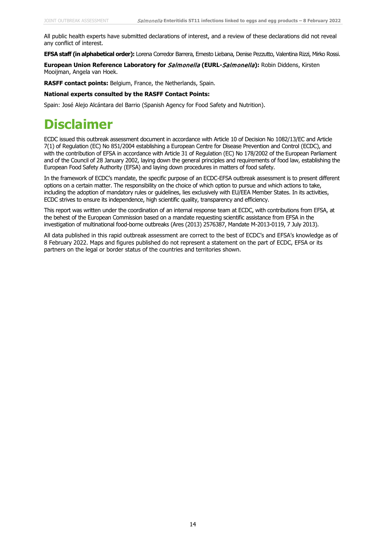All public health experts have submitted declarations of interest, and a review of these declarations did not reveal any conflict of interest.

**EFSA staff (in alphabetical order):** Lorena Corredor Barrera, Ernesto Liebana, Denise Pezzutto, Valentina Rizzi, Mirko Rossi.

**European Union Reference Laboratory for** Salmonella **(EURL-**Salmonella**):** Robin Diddens, Kirsten Mooijman, Angela van Hoek.

**RASFF contact points:** Belgium, France, the Netherlands, Spain.

#### **National experts consulted by the RASFF Contact Points:**

Spain: José Alejo Alcántara del Barrio (Spanish Agency for Food Safety and Nutrition).

## **Disclaimer**

ECDC issued this outbreak assessment document in accordance with Article 10 of Decision No 1082/13/EC and Article 7(1) of Regulation (EC) No 851/2004 establishing a European Centre for Disease Prevention and Control (ECDC), and with the contribution of EFSA in accordance with Article 31 of Regulation (EC) No 178/2002 of the European Parliament and of the Council of 28 January 2002, laying down the general principles and requirements of food law, establishing the European Food Safety Authority (EFSA) and laying down procedures in matters of food safety.

In the framework of ECDC's mandate, the specific purpose of an ECDC-EFSA outbreak assessment is to present different options on a certain matter. The responsibility on the choice of which option to pursue and which actions to take, including the adoption of mandatory rules or guidelines, lies exclusively with EU/EEA Member States. In its activities, ECDC strives to ensure its independence, high scientific quality, transparency and efficiency.

This report was written under the coordination of an internal response team at ECDC, with contributions from EFSA, at the behest of the European Commission based on a mandate requesting scientific assistance from EFSA in the investigation of multinational food-borne outbreaks (Ares (2013) 2576387, Mandate M-2013-0119, 7 July 2013).

All data published in this rapid outbreak assessment are correct to the best of ECDC's and EFSA's knowledge as of 8 February 2022. Maps and figures published do not represent a statement on the part of ECDC, EFSA or its partners on the legal or border status of the countries and territories shown.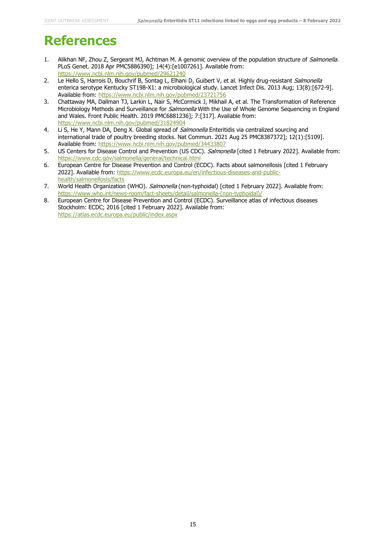## **References**

- 1. Alikhan NF, Zhou Z, Sergeant MJ, Achtman M. A genomic overview of the population structure of Salmonella. PLoS Genet. 2018 Apr PMC5886390]; 14(4):[e1007261]. Available from: <https://www.ncbi.nlm.nih.gov/pubmed/29621240>
- 2. Le Hello S, Harrois D, Bouchrif B, Sontag L, Elhani D, Guibert V, et al. Highly drug-resistant Salmonella enterica serotype Kentucky ST198-X1: a microbiological study. Lancet Infect Dis. 2013 Aug; 13(8):[672-9]. Available from:<https://www.ncbi.nlm.nih.gov/pubmed/23721756>
- 3. Chattaway MA, Dallman TJ, Larkin L, Nair S, McCormick J, Mikhail A, et al. The Transformation of Reference Microbiology Methods and Surveillance for *Salmonella* With the Use of Whole Genome Sequencing in England and Wales. Front Public Health. 2019 PMC6881236]; 7:[317]. Available from: <https://www.ncbi.nlm.nih.gov/pubmed/31824904>
- 4. Li S, He Y, Mann DA, Deng X. Global spread of Salmonella Enteritidis via centralized sourcing and international trade of poultry breeding stocks. Nat Commun. 2021 Aug 25 PMC8387372]; 12(1):[5109]. Available from:<https://www.ncbi.nlm.nih.gov/pubmed/34433807>
- 5. US Centers for Disease Control and Prevention (US CDC). Salmonella [cited 1 February 2022]. Available from: <https://www.cdc.gov/salmonella/general/technical.html>
- 6. European Centre for Disease Prevention and Control (ECDC). Facts about salmonellosis [cited 1 February 2022]. Available from: [https://www.ecdc.europa.eu/en/infectious-diseases-and-public](https://www.ecdc.europa.eu/en/infectious-diseases-and-public-health/salmonellosis/facts)[health/salmonellosis/facts](https://www.ecdc.europa.eu/en/infectious-diseases-and-public-health/salmonellosis/facts)
- 7. World Health Organization (WHO). Salmonella (non-typhoidal) [cited 1 February 2022]. Available from: [https://www.who.int/news-room/fact-sheets/detail/salmonella-\(non-typhoidal\)/](https://www.who.int/news-room/fact-sheets/detail/salmonella-(non-typhoidal)/)
- 8. European Centre for Disease Prevention and Control (ECDC). Surveillance atlas of infectious diseases Stockholm: ECDC; 2016 [cited 1 February 2022]. Available from: <https://atlas.ecdc.europa.eu/public/index.aspx>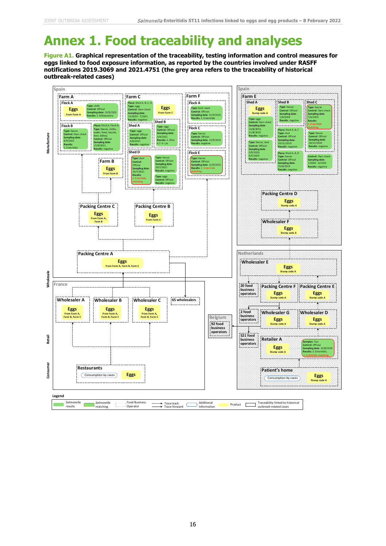# **Annex 1. Food traceability and analyses**

**Figure A1. Graphical representation of the traceability, testing information and control measures for eggs linked to food exposure information, as reported by the countries involved under RASFF notifications 2019.3069 and 2021.4751 (the grey area refers to the traceability of historical outbreak-related cases)**

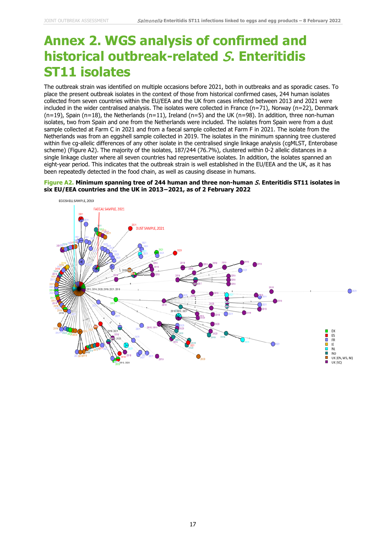## **Annex 2. WGS analysis of confirmed and historical outbreak-related** S**. Enteritidis ST11 isolates**

The outbreak strain was identified on multiple occasions before 2021, both in outbreaks and as sporadic cases. To place the present outbreak isolates in the context of those from historical confirmed cases, 244 human isolates collected from seven countries within the EU/EEA and the UK from cases infected between 2013 and 2021 were included in the wider centralised analysis. The isolates were collected in France (n=71), Norway (n=22), Denmark  $(n=19)$ , Spain  $(n=18)$ , the Netherlands  $(n=11)$ , Ireland  $(n=5)$  and the UK  $(n=98)$ . In addition, three non-human isolates, two from Spain and one from the Netherlands were included. The isolates from Spain were from a dust sample collected at Farm C in 2021 and from a faecal sample collected at Farm F in 2021. The isolate from the Netherlands was from an eggshell sample collected in 2019. The isolates in the minimum spanning tree clustered within five cg-allelic differences of any other isolate in the centralised single linkage analysis (cgMLST, Enterobase scheme) (Figure A2). The majority of the isolates, 187/244 (76.7%), clustered within 0-2 allelic distances in a single linkage cluster where all seven countries had representative isolates. In addition, the isolates spanned an eight-year period. This indicates that the outbreak strain is well established in the EU/EEA and the UK, as it has been repeatedly detected in the food chain, as well as causing disease in humans.

### **Figure A2. Minimum spanning tree of 244 human and three non-human** S**. Enteritidis ST11 isolates in six EU/EEA countries and the UK in 2013−2021, as of 2 February 2022**

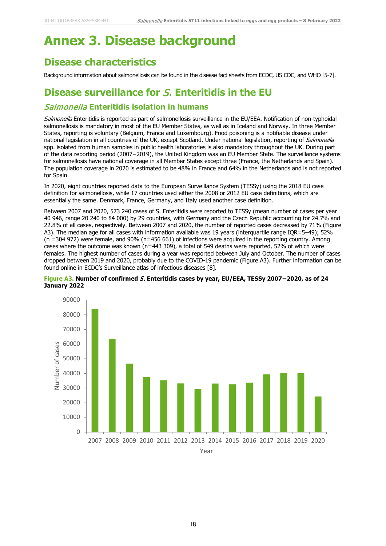## **Annex 3. Disease background**

### **Disease characteristics**

Background information about salmonellosis can be found in the disease fact sheets from ECDC, US CDC, and WHO [5-7].

### **Disease surveillance for** S**. Enteritidis in the EU**

### Salmonella **Enteritidis isolation in humans**

Salmonella Enteritidis is reported as part of salmonellosis surveillance in the EU/EEA. Notification of non-typhoidal salmonellosis is mandatory in most of the EU Member States, as well as in Iceland and Norway. In three Member States, reporting is voluntary (Belgium, France and Luxembourg). Food poisoning is a notifiable disease under national legislation in all countries of the UK, except Scotland. Under national legislation, reporting of Salmonella spp. isolated from human samples in public health laboratories is also mandatory throughout the UK. During part of the data reporting period (2007−2019), the United Kingdom was an EU Member State. The surveillance systems for salmonellosis have national coverage in all Member States except three (France, the Netherlands and Spain). The population coverage in 2020 is estimated to be 48% in France and 64% in the Netherlands and is not reported for Spain.

In 2020, eight countries reported data to the European Surveillance System (TESSy) using the 2018 EU case definition for salmonellosis, while 17 countries used either the 2008 or 2012 EU case definitions, which are essentially the same. Denmark, France, Germany, and Italy used another case definition.

Between 2007 and 2020, 573 240 cases of S. Enteritidis were reported to TESSy (mean number of cases per year 40 946, range 20 240 to 84 000) by 29 countries, with Germany and the Czech Republic accounting for 24.7% and 22.8% of all cases, respectively. Between 2007 and 2020, the number of reported cases decreased by 71% (Figure A3). The median age for all cases with information available was 19 years (interquartile range IQR=5–49); 52% (n =304 972) were female, and 90% (n=456 661) of infections were acquired in the reporting country. Among cases where the outcome was known (n=443 309), a total of 549 deaths were reported, 52% of which were females. The highest number of cases during a year was reported between July and October. The number of cases dropped between 2019 and 2020, probably due to the COVID-19 pandemic (Figure A3). Further information can be found online in ECDC's Surveillance atlas of infectious diseases [8].